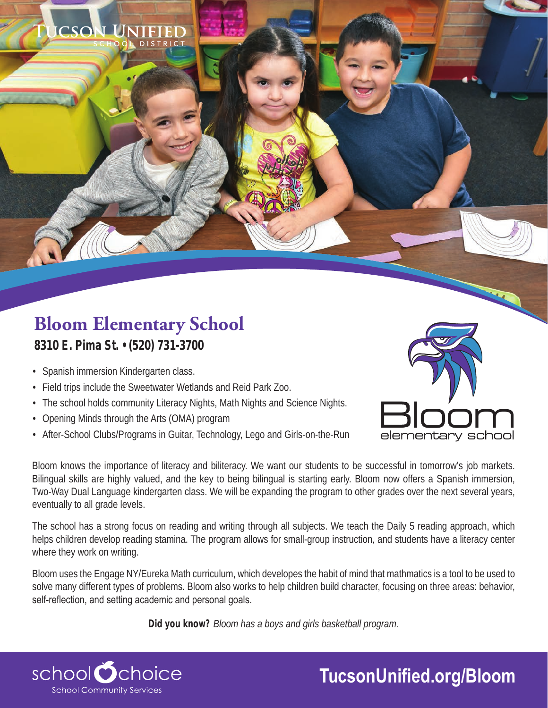## **Bloom Elementary School 8310 E. Pima St. • (520) 731-3700**

- Spanish immersion Kindergarten class.
- Field trips include the Sweetwater Wetlands and Reid Park Zoo.

**DISTRICT** 

- The school holds community Literacy Nights, Math Nights and Science Nights.
- Opening Minds through the Arts (OMA) program
- After-School Clubs/Programs in Guitar, Technology, Lego and Girls-on-the-Run



Bloom knows the importance of literacy and biliteracy. We want our students to be successful in tomorrow's job markets. Bilingual skills are highly valued, and the key to being bilingual is starting early. Bloom now offers a Spanish immersion, Two-Way Dual Language kindergarten class. We will be expanding the program to other grades over the next several years, eventually to all grade levels.

The school has a strong focus on reading and writing through all subjects. We teach the Daily 5 reading approach, which helps children develop reading stamina. The program allows for small-group instruction, and students have a literacy center where they work on writing.

Bloom uses the Engage NY/Eureka Math curriculum, which developes the habit of mind that mathmatics is a tool to be used to solve many different types of problems. Bloom also works to help children build character, focusing on three areas: behavior, self-reflection, and setting academic and personal goals.

**Did you know?** *Bloom has a boys and girls basketball program.*



## **TucsonUnified.org/Bloom**